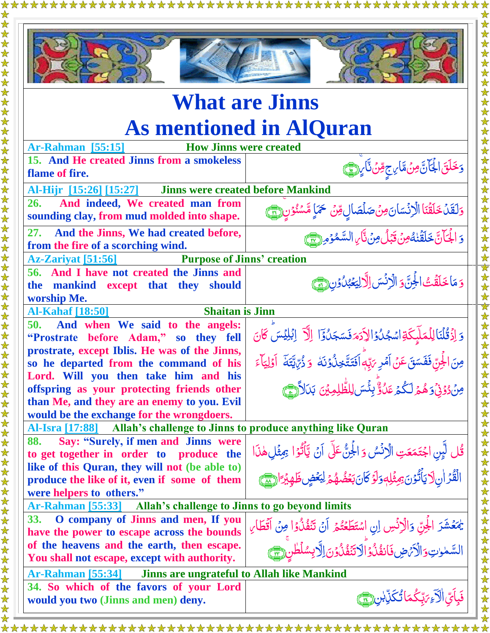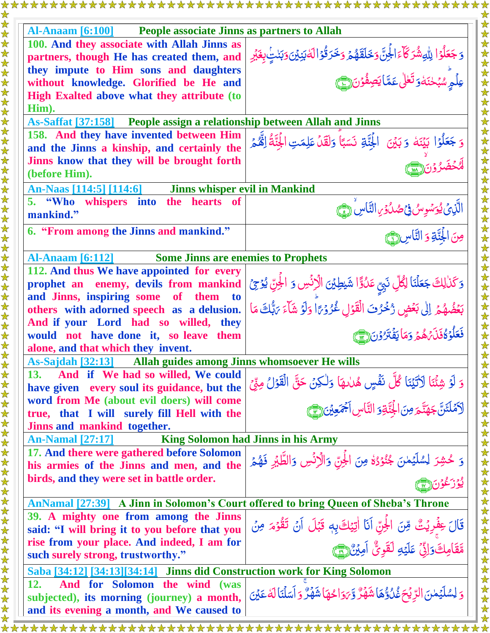| <b>People associate Jinns as partners to Allah</b><br><b>Al-Anaam [6:100]</b>      |                                                                                                                                                                              |
|------------------------------------------------------------------------------------|------------------------------------------------------------------------------------------------------------------------------------------------------------------------------|
| 100. And they associate with Allah Jinns as                                        |                                                                                                                                                                              |
| partners, though He has created them, and                                          | ۘۏ <b>ۘڿؘۘۘػڶ</b> ؙۅٙٛٳۨٮڵؾڡۺ۠ۯػؘڵٵۼؙڷٙۜ <i>ۏڂ</i> ؘڶڦؘۿ۠ؽٙ؋ڂؘڗۛڐ۠ۅٛٳڶڂڹؘؽؽؘۏؘڹڵؾؚۣۢۨۨٮۼؘؽٙڔ<br>عِلۡمِٟۨۺؙؠۡڂڹؘڂۄؘ <b>ؾؘڂ</b> ڵ؏ٙڿٵؾڝؚڡٛ۬ۏڽ۞ۣ                                |
| they impute to Him sons and daughters                                              |                                                                                                                                                                              |
| without knowledge. Glorified be He and                                             |                                                                                                                                                                              |
| High Exalted above what they attribute (to                                         |                                                                                                                                                                              |
| Him).                                                                              |                                                                                                                                                                              |
| As-Saffat [37:158] People assign a relationship between Allah and Jinns            |                                                                                                                                                                              |
| 158. And they have invented between Him                                            |                                                                                                                                                                              |
| and the Jinns a kinship, and certainly the                                         | وَ جَعَلُوۡۤا بَيۡنَهٗ وَ بَيۡنَ ۚ الۡجَنَّةِ نَسَبًاۚ وَلَقَدۡ عَلِمَتِ الۡجَنَّةُ اِنَّهُمۡ                                                                                |
| Jinns know that they will be brought forth                                         |                                                                                                                                                                              |
| (before Him).                                                                      |                                                                                                                                                                              |
| <b>Jinns whisper evil in Mankind</b><br>An-Naas [114:5] [114:6]                    |                                                                                                                                                                              |
| 5. "Who whispers into the hearts of                                                |                                                                                                                                                                              |
| mankind."                                                                          |                                                                                                                                                                              |
| 6. "From among the Jinns and mankind."                                             | الَّذِيۡ يُوَسُوِسُ فِيۡصُدُوۡ النَّاسِ ۚ وَ ﴾<br>مِنَ الْجُنَّةِ وَ النَّاسِ لَ                                                                                             |
|                                                                                    |                                                                                                                                                                              |
| <b>Some Jinns are enemies to Prophets</b><br><b>Al-Anaam</b> [6:112]               |                                                                                                                                                                              |
| 112. And thus We have appointed for every                                          |                                                                                                                                                                              |
| prophet an enemy, devils from mankind                                              |                                                                                                                                                                              |
| and Jinns, inspiring some<br>of them to                                            |                                                                                                                                                                              |
| others with adorned speech as a delusion.                                          | ْ وَكَذٰلِكَ جَعَلْنَا لِكُلِّ نَبِيِّ عَدُوًّا شَيْطِيْنَ الْإِنْسِ وَ الْجِنِّ يُوْجِيُّ<br>بَعۡضُهُمۡ إِلٰى بَعۡضٍ رُخۡوُفَ الْقَوۡلِ غُرُوۡهَا وَلَوۡ شَآءَ مَتُبُكَ مَا |
| And if your Lord had so willed, they                                               |                                                                                                                                                                              |
| would not have done it, so leave them                                              | فَعَلْوَةُ فَلَىَهُمُّهُمَّ وَمَا يَفۡتَرُّوۡنَ (٣)                                                                                                                          |
| alone, and that which they invent.                                                 |                                                                                                                                                                              |
| As-Sajdah <a>[32:13]</a> Allah guides among Jinns whomsoever He wills              |                                                                                                                                                                              |
| And if We had so willed, We could<br>13.                                           |                                                                                                                                                                              |
| have given every soul its guidance, but the                                        | وَ لَوۡ شِئۡنَا لَاٰتَيۡنَا کُلَّ نَفۡسٍ هُدٰىهَا وَلٰكِنۡ حَقَّ الۡقَوۡلُ مِنِّىۡ<br>لَاَمۡلَئَنَّ جَهَنَّـمَ مِنَ الۡجِنَّـةِوَ النَّاسِ اَجۡمَعِیۡنَ ( ۗ                  |
| word from Me (about evil doers) will come                                          |                                                                                                                                                                              |
| true, that I will surely fill Hell with the                                        |                                                                                                                                                                              |
| Jinns and mankind together.                                                        |                                                                                                                                                                              |
| <b>An-Namal</b> [27:17]                                                            | <b>King Solomon had Jinns in his Army</b>                                                                                                                                    |
| 17. And there were gathered before Solomon                                         |                                                                                                                                                                              |
| his armies of the Jinns and men, and the                                           | وَ حُشِرَ لِسُلَيۡمٰنَ جُنُوۡدُہٗ مِنَ الۡجِنّ وَالۡرَنۡسِ وَالطَّلَيۡ فَهُمۡ                                                                                                |
| birds, and they were set in battle order.                                          |                                                                                                                                                                              |
|                                                                                    |                                                                                                                                                                              |
| AnNamal [27:39] A Jinn in Solomon's Court offered to bring Queen of Sheba's Throne |                                                                                                                                                                              |
| 39. A mighty one from among the Jinns                                              |                                                                                                                                                                              |
| said: "I will bring it to you before that you                                      | قَالَ عِفْرِيْتٌ مِّنَ الْجَرِّ أَنَا اٰتِيَكَ بِهٖ قَبْلَ أَنۡ تَقُوۡمَ مِنۡ                                                                                                |
| rise from your place. And indeed, I am for                                         | مَّقَامِكَ وَإِنِّ عَلَيْهِ لَقَوِيٌّ أَمِيْن <u>َ (75</u>                                                                                                                   |
| such surely strong, trustworthy."                                                  |                                                                                                                                                                              |
| Saba [34:12] [34:13] [34:14] Jinns did Construction work for King Solomon          |                                                                                                                                                                              |
| 12.                                                                                |                                                                                                                                                                              |
| And for Solomon the wind (was                                                      |                                                                                                                                                                              |
| subjected), its morning (journey) a month,                                         | وَ لِسُلَيۡمٰنَ الرِّيۡحَ غُلُوٌّهَا شَهۡرٌ وَّيَوَاحُهَا شَهۡرٌ وَ اَسَلۡنَا لَهُ عَيۡنَ                                                                                    |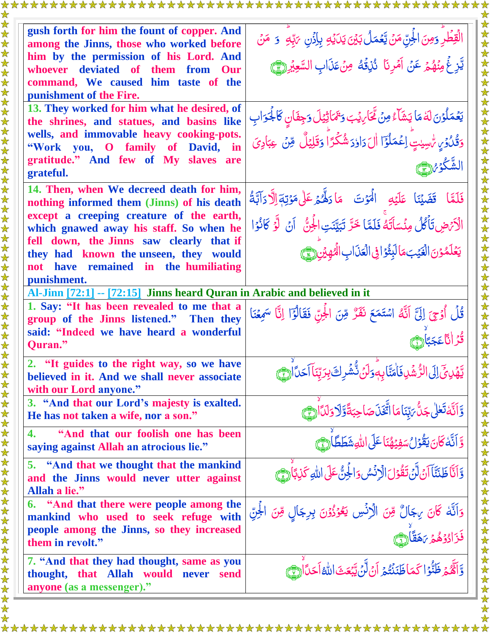| gush forth for him the fount of copper. And                                                          |                                                                                                                                                                                  |
|------------------------------------------------------------------------------------------------------|----------------------------------------------------------------------------------------------------------------------------------------------------------------------------------|
| among the Jinns, those who worked before                                                             | الْقِطْرِ وَمِنَ الْجِنِّ مَنْ يَّعۡمَلُ بَيۡنَ يَدَيۡكِ بِإِذۡنِ ۚ رَبِّهِ ۚ وَ ۚ مَنۡ                                                                                          |
| him by the permission of his Lord. And                                                               | يَّزِغُ مِنْهُمْ عَنْ آَمْرِنَا ۚ دُٰزِقُهُ ۚ مِنۡ عَذَابِ السَّعِبُ <u>ْرِ (٣)</u>                                                                                              |
| whoever deviated of them from Our<br>command, We caused him taste of the                             |                                                                                                                                                                                  |
| punishment of the Fire.                                                                              |                                                                                                                                                                                  |
| 13. They worked for him what he desired, of                                                          |                                                                                                                                                                                  |
| the shrines, and statues, and basins like                                                            |                                                                                                                                                                                  |
| wells, and immovable heavy cooking-pots.<br>"Work you, O family of David, in                         | يَعۡمَلُوۡنَ لَهٗ مَا يَشَآءُ مِنۡ تَّحَاٰىِيۡبَ وَتَمَاتِيۡلَ وَجِفَانٍ كَالَجُوَابِ<br>وَقُدُٰوۡىٰ سُّسِيْتٍۢ اِعۡمَلُوۡٓٓا اٰلَ دَاوٗدَ شُکۡرَاؕ وَقَلِيۡلٌ ۚ مِّنۡ عِبَادِىَ |
| gratitude." And few of My slaves are                                                                 |                                                                                                                                                                                  |
| grateful.                                                                                            |                                                                                                                                                                                  |
| 14. Then, when We decreed death for him,                                                             | فَلَمَّا قَضَيۡنَا عَلَيۡهِ الۡمَوۡتَ مَا دَلَّهُمۡ عَلَىٰ مَوۡتِهَالِ ۖ دَآتَٖةُ                                                                                                |
| nothing informed them (Jinns) of his death                                                           |                                                                                                                                                                                  |
| except a creeping creature of the earth,<br>which gnawed away his staff. So when he                  | الْأَمْضِ تَأْكُلُ مِنْسَاَتَهُ فَلَمَّا خَرَّ تَبَيَّنَتِ الْجِنُّ ۚ أَنْ لَّوَ كَانُوَا                                                                                        |
| fell down, the Jinns saw clearly that if                                                             |                                                                                                                                                                                  |
| they had known the unseen, they would                                                                | يَعْلَمُوْنَ الْغَيْبَ مَالْبَثُوَا فِي الْعَذَابِ الْهُهْيْنِ (يَ                                                                                                               |
| have remained in the humiliating<br>not<br>punishment.                                               |                                                                                                                                                                                  |
| Al-Jinn [72:1] -- [72:15] Jinns heard Quran in Arabic and believed in it                             |                                                                                                                                                                                  |
| 1. Say: "It has been revealed to me that a                                                           | قُلُ أُوْحِيَ إِلَيَّ آنَّهُ اسْتَمَعَ نَفَرٌ مِّنَ الْجَنِّ فَقَالُوًٓا إِنَّا سَمِعۡنَا                                                                                        |
| group of the Jinns listened." Then they                                                              |                                                                                                                                                                                  |
| said: "Indeed we have heard a wonderful<br>Quran."                                                   | قُّ انَّاعَجَبَانَ                                                                                                                                                               |
| 2. "It guides to the right way, so we have                                                           | ؾۜۿؘڹؽؘٙٳڸؘٳٳڷڗ۠ۺؙڹڣؘٲؘ <sub>ڡ</sub> ؾۜٞٳؠ؋ۜۏڶڽٛٙڎ۠۠ۺؙڔڮؘڹؚڒڹڹٲٲڂ <i>ۮ</i> ٲؗٳ <del>۞</del>                                                                                      |
| believed in it. And we shall never associate                                                         |                                                                                                                                                                                  |
| with our Lord anyone."<br>3. "And that our Lord's majesty is exalted.                                |                                                                                                                                                                                  |
| He has not taken a wife, nor a son."                                                                 | وَالَّهُ تَعْلَى جَنُّ يَبِّنَاهَا اتَّغَذَ صَاحِبَةً وَّلَا وَلَدَّارَهَ مَ                                                                                                     |
| "And that our foolish one has been<br>4.<br>saying against Allah an atrocious lie."                  | وَّ أَنَّهُ كَانَ يَقُوْلُ سَفِيْهُنَا عَلَى اللَّهِ شَطَطَّاً (جَ)َ                                                                                                             |
| 5. "And that we thought that the mankind<br>and the Jinns would never utter against<br>Allah a lie." | وَّاَنَّا ظَنَّنَا آنَ لَّنْ تَقُوَلَ الْإِنْسُ وَالْجِنُّ عَلَى اللهِ كَذِبَاً (فَيَّ)                                                                                          |
| 6. "And that there were people among the<br>mankind who used to seek refuge with                     | وَاَنَّهُ كَانَ بِجَالٌ مِّنَ الْإِنْسِ يَعُوُذُوۡنَ بِرِجَالٍ مِّنَ الْجِنِّ                                                                                                    |
| people among the Jinns, so they increased<br>them in revolt."                                        | ؚ<br>ڣؘڒؘٳ <sub>ۮ۠ۮٙ</sub> ۿؽ؆ۿڡٞٲۘ۞                                                                                                                                             |
| 7. "And that they had thought, same as you<br>thought, that Allah would never send                   | وَّاَةٌ هُمْ ظَنُّوۡا كَمَاظَنَنۡتُمۡ أَنۡ لَّنَ يَّبۡعَثَ اللَّهُ أَحَدًاۚ لِنَّهُ                                                                                              |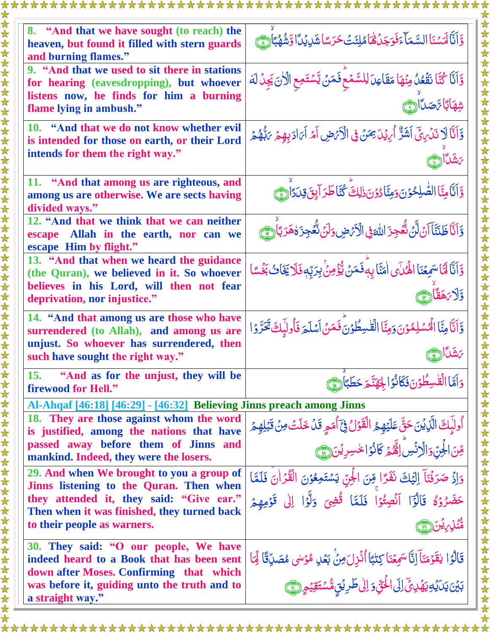| 8. "And that we have sought (to reach) the<br>heaven, but found it filled with stern guards<br>and burning flames."                                                                                            | وَّاَنَّا لَهَسْنَا السَّمَاءَفَوَجَدُهُا مُلِئَثَ حَرَسًا شَرِيُدًا وَشُهُبًا لِمَّ                                                                                                                        |
|----------------------------------------------------------------------------------------------------------------------------------------------------------------------------------------------------------------|-------------------------------------------------------------------------------------------------------------------------------------------------------------------------------------------------------------|
| 9. "And that we used to sit there in stations<br>for hearing (eavesdropping), but whoever<br>listens now, he finds for him a burning<br>flame lying in ambush."                                                | وَّاَنَّا كُنَّا نَقَعُلُ مِنُهَا مَقَاعِدَ لِلسَّمۡعِ فَمَنۡ يَّسۡتَمِعِ الْأَنَ يَجِلُ لَهُ<br>شهابًا تمصال                                                                                               |
| 10. "And that we do not know whether evil<br>is intended for those on earth, or their Lord<br>intends for them the right way."                                                                                 | وَّأَنَّا لَا نَدۡىٰٓ لَمَنَّ الْشَرَّ أَيۡ يَمَنۡ فِى الْأَيۡصِ أَمۡ أَيَادَ بِهِمۡ يَٰٓلُهُمۡ                                                                                                             |
| 11. "And that among us are righteous, and<br>among us are otherwise. We are sects having<br>divided ways."                                                                                                     | وَاَنَّامِنَّا الصَّلِحُوْنَ وَمِنَّادُوْنَ ذٰلِكَ كُنَّاطَرَ آيِنَ قِدَدَارِيَّ                                                                                                                            |
| 12. "And that we think that we can neither<br>escape Allah in the earth, nor can we<br>escape Him by flight."                                                                                                  | وَّاَنَّا ظَنَنَّا آنَ لَّنَ نُّعُجِزَ اللّهَ فِي الْأَرَّضِ دَلَنَ نُّعُجِزَةُ هَرَبَّا (٢                                                                                                                 |
| 13. "And that when we heard the guidance<br>(the Quran), we believed in it. So whoever<br>believes in his Lord, will then not fear<br>deprivation, nor injustice."                                             | وَّاَنَّا لَّمَّا سَمِعْنَا الْهُلَّى اٰمَنَّا بِهَ فَمَنْ يُّؤْمِنُ بِرَبِّهٖ فَلَا يَخَابُ بَخْسًا<br>ڐڒڗۿڡٞٲڒ                                                                                            |
| 14. "And that among us are those who have<br>surrendered (to Allah), and among us are<br>unjust. So whoever has surrendered, then<br>such have sought the right way."                                          | وَّاَنَّا مِنَّا الْهُسْلِمُوْنَ وَمِنَّا الْقَسِطُوْنَ فَمَنْ اَسْلَمَ فَأُولِبَكَ تَحَرَّوْا<br>بَشَكَأَ(٦                                                                                                |
| "And as for the unjust, they will be<br><b>15.</b><br>firewood for Hell."                                                                                                                                      | دَامَّا الْقَسِطُوْنَ فَكَانُوْ الْجَهَنَّجَ حَطَبَانَ،                                                                                                                                                     |
| Al-Ahqaf [46:18] [46:29] - [46:32] Believing Jinns preach among Jinns                                                                                                                                          |                                                                                                                                                                                                             |
| 18. They are those against whom the word<br>is justified, among the nations that have<br>passed away before them of Jinns and<br>mankind. Indeed, they were the losers.                                        | أُولِّبِكَ الَّذِيۡنَ حَقَّ عَلَيۡهِمُ الۡقَوۡلُ فِيَٓ أُمَمِ قَلۡ خَلَتۡ مِنۡ قَبۡلِهِمۡ<br>قِنَ الْجِنِّ وَالَّاِنُّسِ اِلْقَّهُمَّ كَانُوَ الْحُسِرِيْنَ (                                               |
| 29. And when We brought to you a group of<br>Jinns listening to the Quran. Then when<br>they attended it, they said: "Give ear."<br>Then when it was finished, they turned back<br>to their people as warners. | وَإِذْ صَرَفُنَاً إِلَيْكَ نَفَرًا مِّنَ الْجَنِّ يَسْتَمِعُوْنَ الْقُرْانَ فَلَمَّا<br>حَضَرُوۡ ۚ قَالَوۡٓا ۚ اَنۡصِتُوۡا ۚ فَلَمَّا ۖ قُضِى ۚ وَلَّوۡا ۚ إِلٰى ۖ قَوۡمِهِمۡ<br><b>ۿ۠ڹ</b> ٛڹ <i>ڕؽ</i> ڹ۞ |
| 30. They said: "O our people, We have<br>indeed heard to a Book that has been sent<br>down after Moses. Confirming that which<br>was before it, guiding unto the truth and to<br>a straight way."              | قَالُوُا يَقَوْمَنَآ إِنَّاسَمِعُنَا كِتٰبًا أُنُزِلَ مِنۡ بَعۡلِ مُؤْسَى مُصَلِّقًا لِّمَا<br>بَيْنَ يَدَيْدِيَهُدِيِّ إِلَى الْحَقِّ وَ إِلَى طَرِيْقٍ مُّسْتَقِيْعٍ (بَيْجٍ)                             |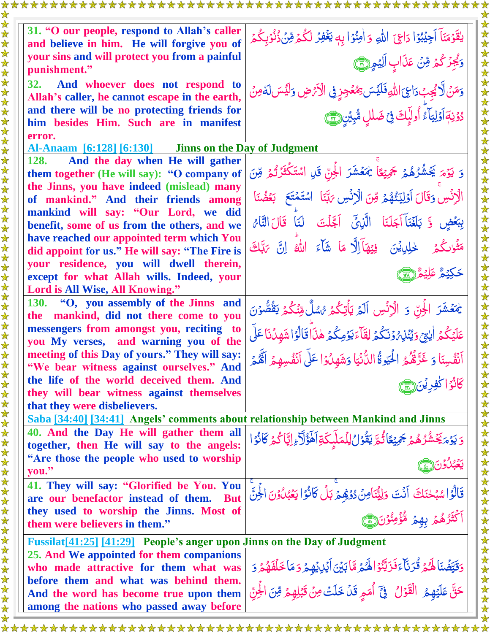| and believe in him. He will forgive you of                                                                              | يقَوْمَنَاً اَجِيْبُوْا دَاعِيَ اللّهِ وَ اٰمِنُوْا بِهِ يَغُفِرُ لَكُمْ مِّنُ ذُنُوۡبِكُمۡ                         |
|-------------------------------------------------------------------------------------------------------------------------|---------------------------------------------------------------------------------------------------------------------|
| your sins and will protect you from a painful<br>punishment."                                                           | وَيُجِزَكُمُ مِّنْ عَذَابٍ الِيُمِ (٢٣                                                                              |
| And whoever does not respond to<br><b>32.</b><br>Allah's caller, he cannot escape in the earth,                         | وَمَنْ لَّا يُجِبُدَاعِ اللَّهِ فَلَيْسَ بِمُعْجِزٍ فِي الْأَرْضِ وَلَيْسَ لَهُ مِنْ                                |
| and there will be no protecting friends for<br>him besides Him. Such are in manifest                                    | كَوْنِهَ أَوْلِيَاً ۚ أُولَٰٓئِكَ فِي ضَلْلِ مُّبِيْنِ (٢٣                                                          |
| error.                                                                                                                  |                                                                                                                     |
| Al-Anaam [6:128] [6:130]                                                                                                | <b>Jinns on the Day of Judgment</b>                                                                                 |
| And the day when He will gather<br><b>128.</b><br>them together (He will say): "O company of                            | وَ يَوۡمَ يَحۡشُرُهُمۡ جَمِيۡعًا يَٰمَعۡشَرَ الۡجِنّ قَلِ اسۡتَكۡثَرَتُمۡ مِّنَ                                     |
| the Jinns, you have indeed (mislead) many<br>of mankind." And their friends among                                       | الْرَنْسِ وَقَالَ اَوَلِيَنْهُمْ وِّنَ الْرَنْسِ يَهَّنَا اسْتَمْتَعَ بَعُضُنَا                                     |
| mankind will say: "Our Lord, we did<br>benefit, some of us from the others, and we                                      | بِبَعْضٍ وَّ بَلَغَنَآ اَجَلَنَا الَّذِيَّ اَجَّلَتَ لَنَا قَالَ النَّامُ                                           |
| have reached our appointed term which You<br>did appoint for us." He will say: "The Fire is                             | مَثْوَى كُمْ خْلِلِيْيْنَ فِيْهَآاِلَّا مَا شَأَءَ اللهُ إِنَّ يَتَّلِكَ                                            |
| your residence, you will dwell therein,<br>except for what Allah wills. Indeed, your<br>Lord is All Wise, All Knowing." | خَكِيْمُ عَلِيْمُ(ِ <u>ِيِّ</u>                                                                                     |
| 130. "O, you assembly of the Jinns and<br>the mankind, did not there come to you                                        | يُمَعَشَرَ الْجِنّ وَ الْإِنْسِ اَلَمْ يَأْتِكُمْ رُسُلٌ مِّنْكُمْ يَقُصُّوۡنَ                                      |
| messengers from amongst you, reciting to<br>you My verses, and warning you of the                                       | عَلَيْكُمُ اٰيِّدْمِ وَيُّنْذِهُ وَنَكُمۡ لِقَآءَ يَوۡمِكُمۡ هٰذَاۢ قَالُوۡ اشۡهَدۡنَاۤ عَلَى                       |
| meeting of this Day of yours." They will say:<br>"We bear witness against ourselves." And                               | اَنَفْسِنَا وَ غَرَّهُُمُّ الْحَيْوةُ الدُّنۡيَا وَشَهِلُوۡا عَلَى اَنۡفُسِهِمۡ اَلۡهُمۡ $\frac{1}{2}$              |
| the life of the world deceived them. And<br>they will bear witness against themselves<br>that they were disbelievers.   |                                                                                                                     |
| Saba [34:40] [34:41] Angels' comments about relationship between Mankind and Jinns                                      |                                                                                                                     |
| 40. And the Day He will gather them all<br>together, then He will say to the angels:                                    | <u>و</u> َ يَوْمَ <sup>ك</sup> َشُرُهُمْ جَمِيْعًا ثُمَّ يَقُوْلُ لِلْمَلَّيكَةِ آَهَؤُلَّا ۚ إِيَّا كُمْ كَانُوُ ا |
| "Are those the people who used to worship<br>you."                                                                      |                                                                                                                     |
| 41. They will say: "Glorified be You. You<br>are our benefactor instead of them. But                                    | قَالُوَ اسْبَحْنَكَ آنَتَ وَلِيُّنَامِنُ دُوْهِمْ بَلْ كَانُوَ ا يَعْبُلُوْنَ الْجِنَّ                              |
| they used to worship the Jinns. Most of<br>them were believers in them."                                                | <br> كَثَرُهُمۡ بِهِمۡ مُّؤۡمِنُوۡنَ( ۣ )                                                                           |
| Fussilat[41:25] [41:29] People's anger upon Jinns on the Day of Judgment                                                |                                                                                                                     |
| 25. And We appointed for them companions                                                                                |                                                                                                                     |
| who made attractive for them what was                                                                                   | وَقَيَّضُنَا لَهُمْ قُرَنَاًءَفَزَيَّنُوۡۤاللَّهُمُ مَّابَيۡنَ اَيۡلِ يُهِمۡ وَ مَا خَلَفَهُمۡ وَ                   |
| before them and what was behind them.                                                                                   | حَقَّ عَلَيْهِمُ الْقَوْلُ فِيَّ أُمَمِ قَدْ خَلَتْ مِنْ قَبْلِهِمْ مِّنَ الْجِنِّ                                  |
| And the word has become true upon them                                                                                  |                                                                                                                     |